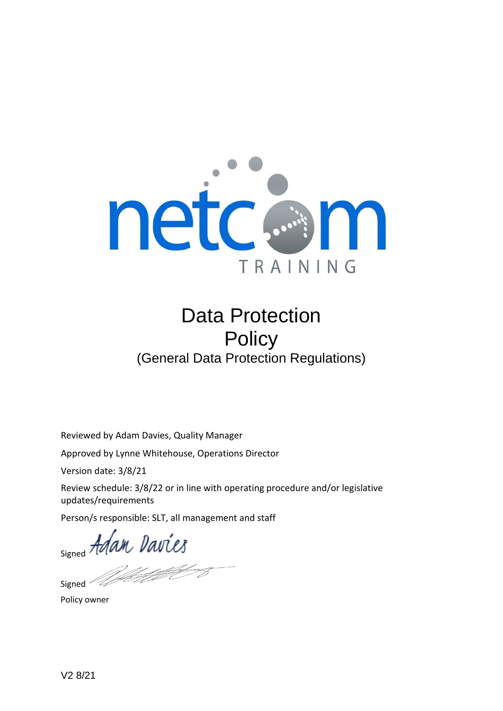

# Data Protection **Policy** (General Data Protection Regulations)

Reviewed by Adam Davies, Quality Manager

Approved by Lynne Whitehouse, Operations Director

Version date: 3/8/21

Review schedule: 3/8/22 or in line with operating procedure and/or legislative updates/requirements

Person/s responsible: SLT, all management and staff

Person/s response

Signed<sup>2</sup>

Policy owner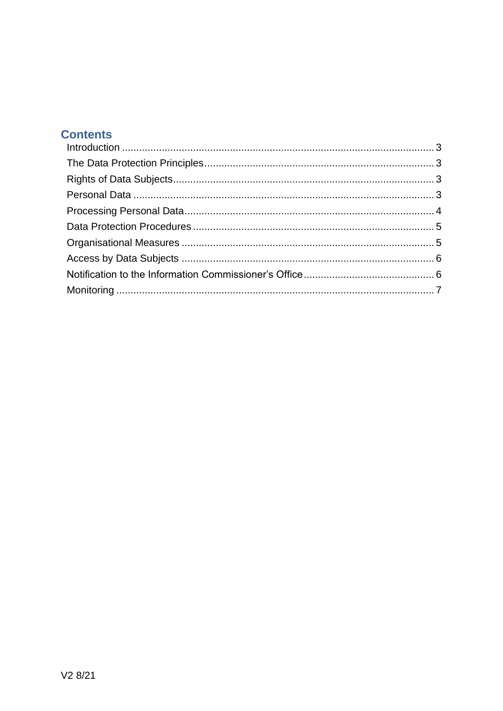# **Contents**

<span id="page-1-0"></span>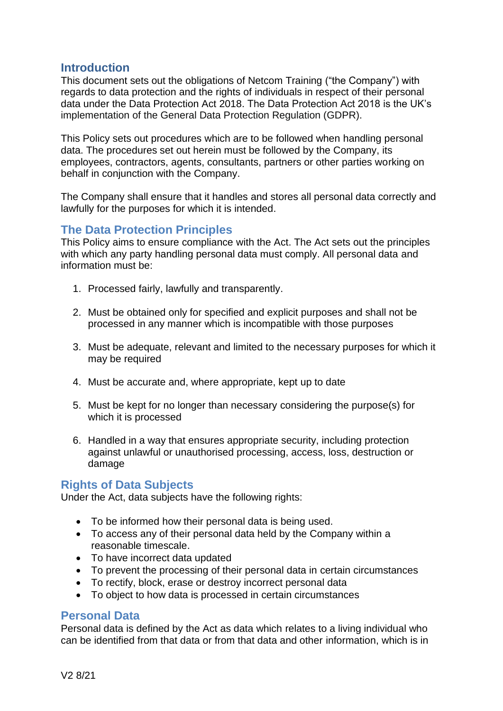#### **Introduction**

This document sets out the obligations of Netcom Training ("the Company") with regards to data protection and the rights of individuals in respect of their personal data under the Data Protection Act 2018. The Data Protection Act 2018 is the UK's implementation of the General Data Protection Regulation (GDPR).

This Policy sets out procedures which are to be followed when handling personal data. The procedures set out herein must be followed by the Company, its employees, contractors, agents, consultants, partners or other parties working on behalf in conjunction with the Company.

The Company shall ensure that it handles and stores all personal data correctly and lawfully for the purposes for which it is intended.

## <span id="page-2-0"></span>**The Data Protection Principles**

This Policy aims to ensure compliance with the Act. The Act sets out the principles with which any party handling personal data must comply. All personal data and information must be:

- 1. Processed fairly, lawfully and transparently.
- 2. Must be obtained only for specified and explicit purposes and shall not be processed in any manner which is incompatible with those purposes
- 3. Must be adequate, relevant and limited to the necessary purposes for which it may be required
- 4. Must be accurate and, where appropriate, kept up to date
- 5. Must be kept for no longer than necessary considering the purpose(s) for which it is processed
- 6. Handled in a way that ensures appropriate security, including protection against unlawful or unauthorised processing, access, loss, destruction or damage

## <span id="page-2-1"></span>**Rights of Data Subjects**

Under the Act, data subjects have the following rights:

- To be informed how their personal data is being used.
- To access any of their personal data held by the Company within a reasonable timescale.
- To have incorrect data updated
- To prevent the processing of their personal data in certain circumstances
- To rectify, block, erase or destroy incorrect personal data
- To object to how data is processed in certain circumstances

#### <span id="page-2-2"></span>**Personal Data**

Personal data is defined by the Act as data which relates to a living individual who can be identified from that data or from that data and other information, which is in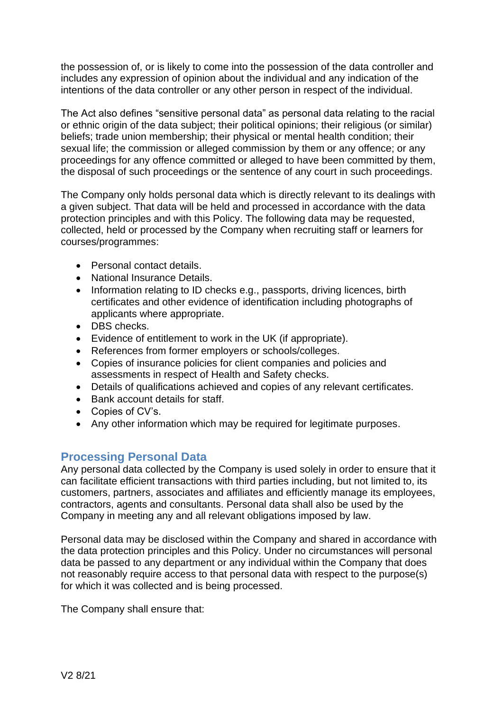the possession of, or is likely to come into the possession of the data controller and includes any expression of opinion about the individual and any indication of the intentions of the data controller or any other person in respect of the individual.

The Act also defines "sensitive personal data" as personal data relating to the racial or ethnic origin of the data subject; their political opinions; their religious (or similar) beliefs; trade union membership; their physical or mental health condition; their sexual life; the commission or alleged commission by them or any offence; or any proceedings for any offence committed or alleged to have been committed by them, the disposal of such proceedings or the sentence of any court in such proceedings.

The Company only holds personal data which is directly relevant to its dealings with a given subject. That data will be held and processed in accordance with the data protection principles and with this Policy. The following data may be requested, collected, held or processed by the Company when recruiting staff or learners for courses/programmes:

- Personal contact details.
- National Insurance Details.
- Information relating to ID checks e.g., passports, driving licences, birth certificates and other evidence of identification including photographs of applicants where appropriate.
- DBS checks.
- Evidence of entitlement to work in the UK (if appropriate).
- References from former employers or schools/colleges.
- Copies of insurance policies for client companies and policies and assessments in respect of Health and Safety checks.
- Details of qualifications achieved and copies of any relevant certificates.
- Bank account details for staff.
- Copies of CV's.
- Any other information which may be required for legitimate purposes.

## <span id="page-3-0"></span>**Processing Personal Data**

Any personal data collected by the Company is used solely in order to ensure that it can facilitate efficient transactions with third parties including, but not limited to, its customers, partners, associates and affiliates and efficiently manage its employees, contractors, agents and consultants. Personal data shall also be used by the Company in meeting any and all relevant obligations imposed by law.

Personal data may be disclosed within the Company and shared in accordance with the data protection principles and this Policy. Under no circumstances will personal data be passed to any department or any individual within the Company that does not reasonably require access to that personal data with respect to the purpose(s) for which it was collected and is being processed.

The Company shall ensure that: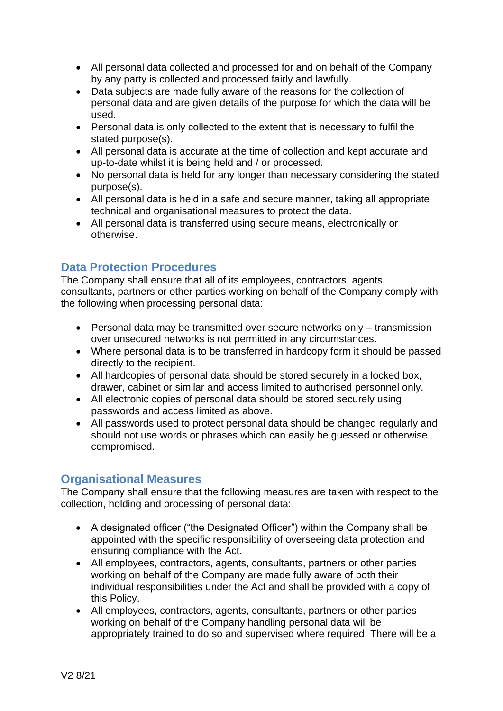- All personal data collected and processed for and on behalf of the Company by any party is collected and processed fairly and lawfully.
- Data subjects are made fully aware of the reasons for the collection of personal data and are given details of the purpose for which the data will be used.
- Personal data is only collected to the extent that is necessary to fulfil the stated purpose(s).
- All personal data is accurate at the time of collection and kept accurate and up-to-date whilst it is being held and / or processed.
- No personal data is held for any longer than necessary considering the stated purpose(s).
- All personal data is held in a safe and secure manner, taking all appropriate technical and organisational measures to protect the data.
- All personal data is transferred using secure means, electronically or otherwise.

## <span id="page-4-0"></span>**Data Protection Procedures**

The Company shall ensure that all of its employees, contractors, agents, consultants, partners or other parties working on behalf of the Company comply with the following when processing personal data:

- Personal data may be transmitted over secure networks only transmission over unsecured networks is not permitted in any circumstances.
- Where personal data is to be transferred in hardcopy form it should be passed directly to the recipient.
- All hardcopies of personal data should be stored securely in a locked box, drawer, cabinet or similar and access limited to authorised personnel only.
- All electronic copies of personal data should be stored securely using passwords and access limited as above.
- All passwords used to protect personal data should be changed regularly and should not use words or phrases which can easily be guessed or otherwise compromised.

## <span id="page-4-1"></span>**Organisational Measures**

The Company shall ensure that the following measures are taken with respect to the collection, holding and processing of personal data:

- A designated officer ("the Designated Officer") within the Company shall be appointed with the specific responsibility of overseeing data protection and ensuring compliance with the Act.
- All employees, contractors, agents, consultants, partners or other parties working on behalf of the Company are made fully aware of both their individual responsibilities under the Act and shall be provided with a copy of this Policy.
- All employees, contractors, agents, consultants, partners or other parties working on behalf of the Company handling personal data will be appropriately trained to do so and supervised where required. There will be a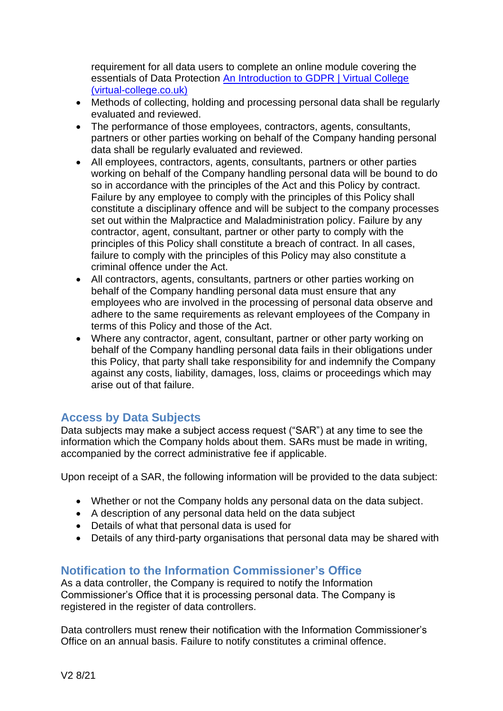requirement for all data users to complete an online module covering the essentials of Data Protection [An Introduction to GDPR | Virtual College](https://www.virtual-college.co.uk/courses/compliance/introduction-to-gdpr)  [\(virtual-college.co.uk\)](https://www.virtual-college.co.uk/courses/compliance/introduction-to-gdpr)

- Methods of collecting, holding and processing personal data shall be regularly evaluated and reviewed.
- The performance of those employees, contractors, agents, consultants, partners or other parties working on behalf of the Company handing personal data shall be regularly evaluated and reviewed.
- All employees, contractors, agents, consultants, partners or other parties working on behalf of the Company handling personal data will be bound to do so in accordance with the principles of the Act and this Policy by contract. Failure by any employee to comply with the principles of this Policy shall constitute a disciplinary offence and will be subject to the company processes set out within the Malpractice and Maladministration policy. Failure by any contractor, agent, consultant, partner or other party to comply with the principles of this Policy shall constitute a breach of contract. In all cases, failure to comply with the principles of this Policy may also constitute a criminal offence under the Act.
- All contractors, agents, consultants, partners or other parties working on behalf of the Company handling personal data must ensure that any employees who are involved in the processing of personal data observe and adhere to the same requirements as relevant employees of the Company in terms of this Policy and those of the Act.
- Where any contractor, agent, consultant, partner or other party working on behalf of the Company handling personal data fails in their obligations under this Policy, that party shall take responsibility for and indemnify the Company against any costs, liability, damages, loss, claims or proceedings which may arise out of that failure.

# <span id="page-5-0"></span>**Access by Data Subjects**

Data subjects may make a subject access request ("SAR") at any time to see the information which the Company holds about them. SARs must be made in writing, accompanied by the correct administrative fee if applicable.

Upon receipt of a SAR, the following information will be provided to the data subject:

- Whether or not the Company holds any personal data on the data subject.
- A description of any personal data held on the data subject
- Details of what that personal data is used for
- Details of any third-party organisations that personal data may be shared with

# <span id="page-5-1"></span>**Notification to the Information Commissioner's Office**

As a data controller, the Company is required to notify the Information Commissioner's Office that it is processing personal data. The Company is registered in the register of data controllers.

Data controllers must renew their notification with the Information Commissioner's Office on an annual basis. Failure to notify constitutes a criminal offence.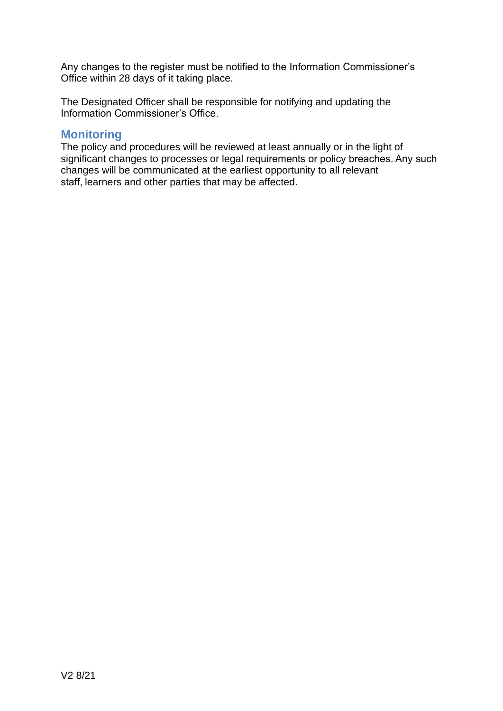Any changes to the register must be notified to the Information Commissioner's Office within 28 days of it taking place.

The Designated Officer shall be responsible for notifying and updating the Information Commissioner's Office.

#### <span id="page-6-0"></span>**Monitoring**

The policy and procedures will be reviewed at least annually or in the light of significant changes to processes or legal requirements or policy breaches. Any such changes will be communicated at the earliest opportunity to all relevant staff, learners and other parties that may be affected.